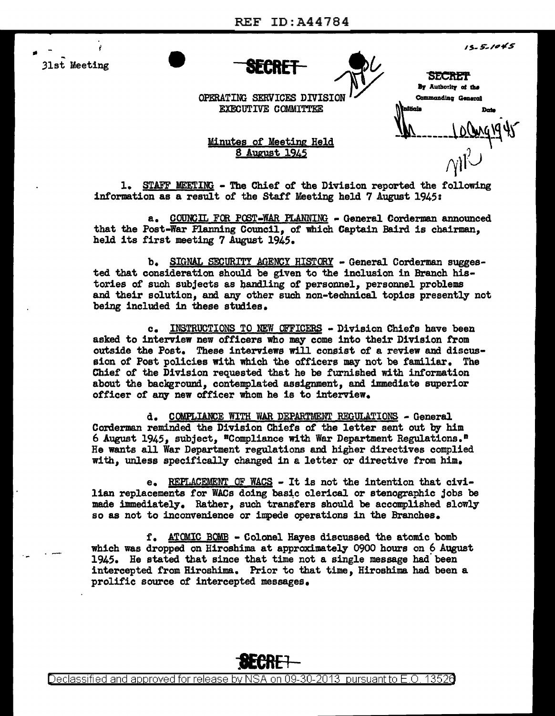

 $15 - 5 - 1045$ 

**IRECRET**<br>By Authorlty of the

Commanding General

OPERATING SERVICES DIVISIO EXECUTIVE COMMITTEE

Minutes of Meeting Held 8 August 1945

 $t^{y}$  $\gamma$ i $\cup$ 

1. STAFF MEETING - The Chief' of' the Division reported the following information as a result of the Staff Meeting held  $7$  August 1945:

a. COUNCIL FOR POST-WAR PLANNING - General Corderman announced that the Post-War Flanning Council, of which Captain Baird is chairman. held its first meeting 7 August 1945.

b. SIGNAL SECURITY AGENCY HISTORY - General Corderman suggested that consideration should be given to the inclusion in Branch histories of such subjects as bandling of personnel, personnel problems and their solution, and any other such non-technical topics presently not being included in these studies.

c. INSTRUCTIONS TO NEW OFFICERS - Division Chiefs have been asked to interview new officers who may come into their Division from outside the Post. These interviews will consist of a review and discussion of Post policies with which the officers may not be familiar. The Chief of the Division requested that he be furnished with information about the background, contemplated assignment, and immediate superior officer of any new officer whom he is to interview.

d. COMPLIANCE WITH WAR DEPARTMENT REGULATIONS - General Corderman reminded the Division Chiefs of the letter sent out by him 6 August 1945, subject,  $^{\circ}$ Compliance with War Department Regulations.<sup> $\circ$ </sup> He wants all War Department regulations and higher directives complied with, unless specifically changed in a letter or directive from him.

e. REPLACEMENT OF WACS - It is not the intention that civilian replacements for WACs doing basic clerical or stenographic jobs be made immediately. Rather, such transfers should be accomplished slowly so as not to inconvenience or impede operations in the Branches.

f. ATOMIC BOMB • Colonel Hayes discussed the atomic bomb which was dropped on Hiroshima at approximately 0900 hours on 6 August 1945. He stated that since that time not a single message had been intercepted from Hiroshima. Prior to that time, Hiroshima had been a prolific source of intercepted messages.



Declassified and approved for release by NSA on 09-30-2013 pursuant to E.O. 1352 $\theta$